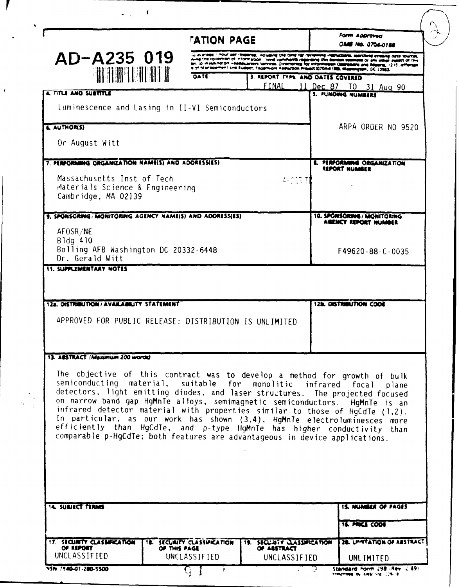|                                                                                                                                                                                                                                                                                                                                                                                                                                                                                                                                                                                                                                    | <b>TATION PAGE</b>                                 |                                                                                                                                                                                                                                                                                                                                                   |  | <b>FORM ADDrawed</b><br><b>No. 0704-0188</b>              |
|------------------------------------------------------------------------------------------------------------------------------------------------------------------------------------------------------------------------------------------------------------------------------------------------------------------------------------------------------------------------------------------------------------------------------------------------------------------------------------------------------------------------------------------------------------------------------------------------------------------------------------|----------------------------------------------------|---------------------------------------------------------------------------------------------------------------------------------------------------------------------------------------------------------------------------------------------------------------------------------------------------------------------------------------------------|--|-----------------------------------------------------------|
| AD-A235 019                                                                                                                                                                                                                                                                                                                                                                                                                                                                                                                                                                                                                        |                                                    | 12 av andre 1 mour den resedime, inclusive the time her reviewing instructions, searching earsons data sources.<br>aving the collection of information. Send comments regarding this burden estimate or any other supert of this<br>an, to invening ton Heelevarters Services, Directorate for information Obstracers and Assems, 1215 / efferson |  |                                                           |
|                                                                                                                                                                                                                                                                                                                                                                                                                                                                                                                                                                                                                                    | DATE                                               | a of Management and Eudoer, Fagerwork Reduction Project (0704-6188), Washington, OC 20983<br>3. REPORT TYPE AND DATES COVERED                                                                                                                                                                                                                     |  |                                                           |
| 4. TITLE AND SUBTITLE                                                                                                                                                                                                                                                                                                                                                                                                                                                                                                                                                                                                              |                                                    |                                                                                                                                                                                                                                                                                                                                                   |  | FINAL 11 Dec 87 TO 31 Aug 90<br><b>5. FUNDING NUMBERS</b> |
| Luminescence and Lasing in II-VI Semiconductors                                                                                                                                                                                                                                                                                                                                                                                                                                                                                                                                                                                    |                                                    |                                                                                                                                                                                                                                                                                                                                                   |  |                                                           |
| & AUTHOR(S)                                                                                                                                                                                                                                                                                                                                                                                                                                                                                                                                                                                                                        |                                                    |                                                                                                                                                                                                                                                                                                                                                   |  | ARPA ORDER NO 9520                                        |
| Dr August Witt                                                                                                                                                                                                                                                                                                                                                                                                                                                                                                                                                                                                                     |                                                    |                                                                                                                                                                                                                                                                                                                                                   |  |                                                           |
| 7. PERFORMING ORGANIZATION NAME(S) AND ADDRESSES)                                                                                                                                                                                                                                                                                                                                                                                                                                                                                                                                                                                  |                                                    |                                                                                                                                                                                                                                                                                                                                                   |  | <b>E. PERFORMING ORGANIZATION</b><br><b>REPORT NUMBER</b> |
| Massachusetts Inst of Tech<br>Materials Science & Engineering<br>Cambridge, MA 02139                                                                                                                                                                                                                                                                                                                                                                                                                                                                                                                                               |                                                    | AKCORT                                                                                                                                                                                                                                                                                                                                            |  |                                                           |
| 9. SPONSORING/MONITORING AGENCY NAME(S) AND ADORESSES)<br>AFOSR/NE<br>Bldg 410                                                                                                                                                                                                                                                                                                                                                                                                                                                                                                                                                     |                                                    |                                                                                                                                                                                                                                                                                                                                                   |  | 10. SPONSORING / MONITORING<br>AGENCY REPORT NUMBER       |
| Bolling AFB Washington DC 20332-6448<br>Dr. Gerald Witt                                                                                                                                                                                                                                                                                                                                                                                                                                                                                                                                                                            |                                                    |                                                                                                                                                                                                                                                                                                                                                   |  | F49620-88-C-0035                                          |
|                                                                                                                                                                                                                                                                                                                                                                                                                                                                                                                                                                                                                                    |                                                    |                                                                                                                                                                                                                                                                                                                                                   |  | <b>12b. DISTRIBUTION CODE</b>                             |
| APPROVED FOR PUBLIC RELEASE: DISTRIBUTION IS UNLIMITED                                                                                                                                                                                                                                                                                                                                                                                                                                                                                                                                                                             |                                                    |                                                                                                                                                                                                                                                                                                                                                   |  |                                                           |
| <b>11. SUPPLEMENTARY NOTES</b><br>12a. DISTRIBUTION/AVAILABILITY STATEMENT<br>13. ABSTRACT (Maximum 200 words)                                                                                                                                                                                                                                                                                                                                                                                                                                                                                                                     |                                                    |                                                                                                                                                                                                                                                                                                                                                   |  |                                                           |
| The objective of this contract was to develop a method for growth of bulk<br>semiconducting material, suitable for monolitic infrared focal<br>detectors, light emitting diodes, and laser structures. The projected focused<br>on narrow band gap HgMnTe alloys, semimagnetic semiconductors. HgMnTe is an<br>infrared detector material with properties similar to those of HgCdTe (1.2).<br>In particular, as our work has shown (3.4), HgMnTe electroluminesces more<br>efficiently than HgCdTe, and p-type HgMnTe has higher conductivity than<br>comparable p-HgCdTe; both features are advantageous in device applications. |                                                    |                                                                                                                                                                                                                                                                                                                                                   |  | plane                                                     |
|                                                                                                                                                                                                                                                                                                                                                                                                                                                                                                                                                                                                                                    |                                                    |                                                                                                                                                                                                                                                                                                                                                   |  | <b>15. NUMBER OF PAGES</b><br><b>16. PRICE COOR</b>       |
| <b>14. SUBJECT TERMS</b><br>17. SECURITY CLASSIFICATION<br>OF REPORT                                                                                                                                                                                                                                                                                                                                                                                                                                                                                                                                                               | <b>18. SECURITY CLASSIFICATION</b><br>OF THIS PAGE | <b>19. SECURIT CLASSIFICATION</b><br>OF ASSTRACT                                                                                                                                                                                                                                                                                                  |  | 28. UPSTATION OF ASSTRACT                                 |

 $\sqrt{ }$ 

 $\bullet$   $\bullet$ 

 $\cdot$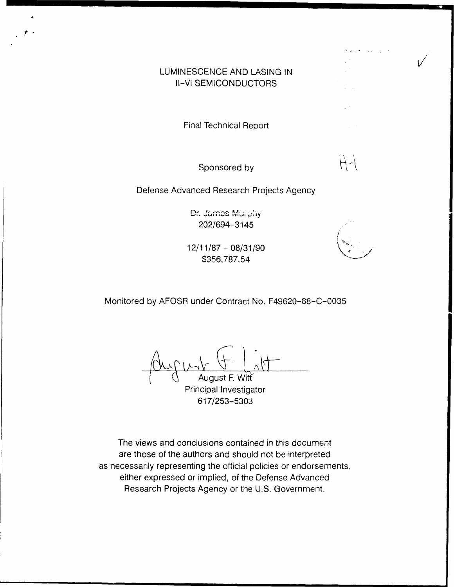# LUMINESCENCE AND **LASING IN** Il-VI **SEMICONDUCTORS**

Final Technical Report

Sponsored by

Defense Advanced Research Projects Agency

Dr. James Murphy 202/694-3145 (

12/11/87 - 08/31/90 \$356,787.54

Monitored by AFOSR under Contract No. F49620-88-C-0035

August F. Witt Principal Investigator 617/253-5303

The views and conclusions contained in this document are those of the authors and should not be interpreted as necessarily representing the official policies or endorsements, either expressed or implied, of the Defense Advanced Research Projects Agency or the U.S. Government.

 $H -$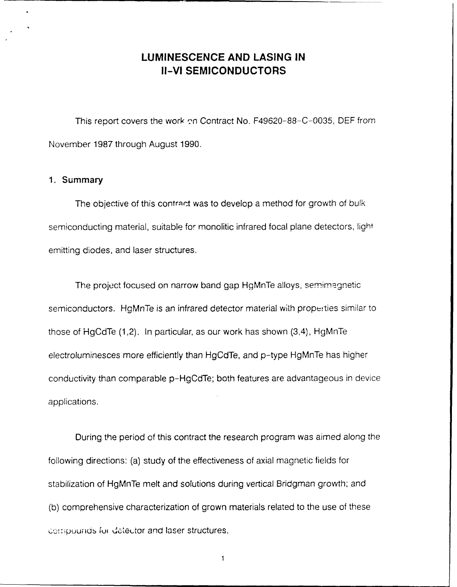# **LUMINESCENCE AND LASING IN II-VI SEMICONDUCTORS**

This report covers the work on Contract No. F49620-88-C-0035, DEF from November 1987 through August 1990.

### 1. Summary

The objective of this contract was to develop a method for growth of bulk semiconducting material, suitable for monolitic infrared focal plane detectors, light emitting diodes, and laser structures.

The project focused on narrow band gap HgMnTe alloys, semimagnetic semiconductors. HgMnTe is an infrared detector material with prope:ties similar to those of HgCdTe (1,2). In particular, as our work has shown (3,4), HgMnTe electroluminesces more efficiently than HgCdTe, and p-type HgMnTe has higher conductivity than comparable p-HgCdTe; both features are advantageous in device applications.

During the period of this contract the research program was aimed along the following directions: (a) study of the effectiveness of axial magnetic fields for stabilization of HgMnTe melt and solutions during vertical Bridgman growth; and (b) comprehensive characterization of grown materials related to the use of these compounds for detector and laser structures.

 $\mathbf{1}$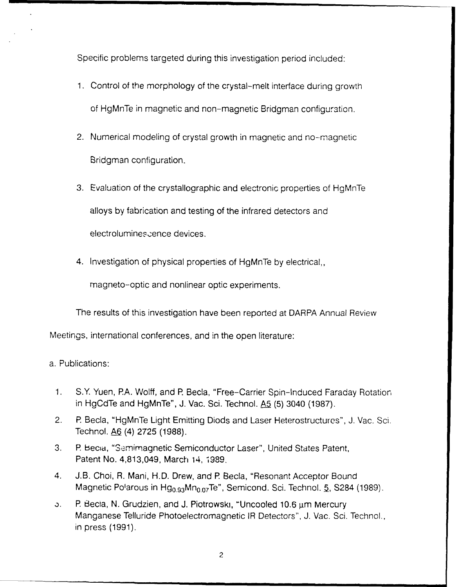Specific problems targeted during this investigation period included:

- 1. Control of the morphology of the crystal-melt interface during growth of HgMnTe in magnetic and non-magnetic Bridgman configuration.
- 2. Numerical modeling of crystal growth in magnetic and no-magnetic Bridgman configuration.
- 3. Evaluation of the crystallographic and electronic properties of HgMnTe alloys by fabrication and testing of the infrared detectors and electrolumines.cence devices.
- 4. Investigation of physical properties of HgMnTe by electrical,,

magneto-optic and nonlinear optic experiments.

The results of this investigation have been reported at DARPA Annual Review

Meetings, international conferences, and in the open literature:

# a. Publications:

- 1. S.Y Yuen, **PA.** Wolff, and P. Becla, "Free-Carrier Spin-Induced Faraday Rotation in HgCdTe and HgMnTe", J. Vac. Sci. Technol. **A5** (5) 3040 (1987).
- 2. P Becla, "HgMnTe Light Emitting Diods and Laser Heterostructures", J. Vac. Sci. Technol. **A6** (4) 2725 (1988).
- 3. P. Becia, "Semimagnetic Semiconductor Laser", United States Patent, Patent No. 4,813,049, March 14, 1989.
- 4. J.B. Choi, R. Mani, H.D. Drew, and **P** Becla, "Resonant Acceptor Bound Magnetic Polarous in Hg<sub>0.93</sub>Mn<sub>0.07</sub>Te", Semicond. Sci. Technol. <u>5,</u> S284 (1989)
- b. **P. Becia, N. Grudzien, and J. Piotrowski, "Uncooled 10.6 μm Mercury** Manganese Telluride Photoelectromagnetic IR Detectors", J. Vac. Sci. Technol., in press (1991).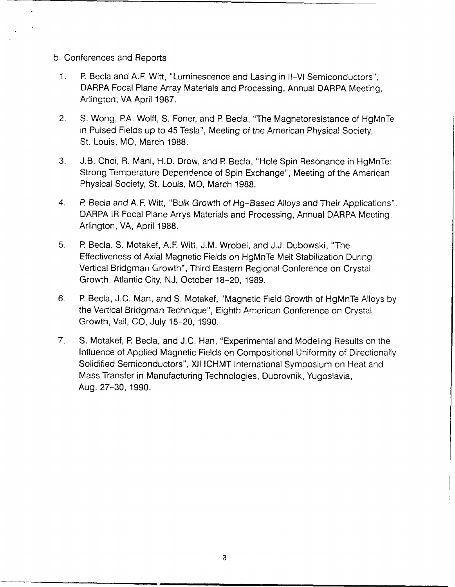- b. Conferences and Reports
	- 1. P Becla and **A.F** Witt, "Luminescence and Lasing in II-VI Semiconductors", DARPA Focal Plane Array Materials and Processing, Annual DARPA Meeting, Arlington, VA April 1987.
	- 2. **S.** Wong, PA. Wolff, S. Foner, and **R** Becla, "The Magnetoresistance of HgMnTe in Pulsed Fields up to 45 Tesla", Meeting of the American Physical Society, St. Louis, MO, March 1988.
	- 3. J.B. Choi, R. Mani, H.D. Drow, and P. Becla, "Hole Spin Resonance in HgMnTe: Strong Temperature Dependence of Spin Exchange", Meeting of the American Physical Society, St. Louis, MO, March 1988.
	- 4. P. Becla and A.F. Witt, "Bulk Growth of Hg-Based Alloys and Their Applications", DARPA IR Focal Plane Arrys Materials and Processing, Annual DARPA Meeting, Arlington, VA, April 1988.
	- 5. P Becla, S. Motakef, A.F. Witt, J.M. Wrobel, and J.J. Dubowski, "The Effectiveness of Axial Magnetic Fields on HgMnTe Melt Stabilization During Vertical Bridgman Growth", Third Eastern Regional Conference on Crystal Growth, Atlantic City, NJ, October 18-20, 1989.
	- 6. R Becla, J.C. Man, and S. Motakef, "Magnetic Field Growth of HgMnTe Alloys by the Vertical Bridgman Technique", Eighth American Conference on Crystal Growth, Vail, CO, July 15-20, 1990.
	- 7. **S.** Motakef, **R** Becla, and J.C. Han, "Experimental and Modeling Results on the Influence of Applied Magnetic Fields on Compositional Uniformity of Directionally Solidified Semiconductors", XII ICHMT International Symposium on Heat and Mass Transfer in Manufacturing Technologies, Dubrovnik, Yugoslavia, Aug. 27-30, 1990.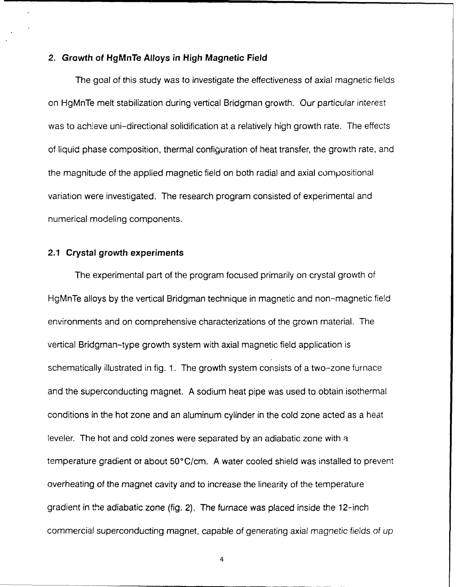### **2. Growth of HgMnTe Alloys in High Magnetic Field**

The goal of this study was to investigate the effectiveness of axial magnetic fields on HgMnTe melt stabilization during vertical Bridgman growth. Our particular interest was to achieve uni-directional solidification at a relatively high growth rate. The effects of liquid phase composition, thermal configuration of heat transfer, the growth rate, and the magnitude of the applied magnetic field on both radial and axial compositional variation were investigated. The research program consisted of experimental and numerical modeling components.

### **2.1 Crystal growth experiments**

The experimental part of the program focused primarily on crystal growth of HgMnTe alloys by the vertical Bridgman technique in magnetic and non-magnetic field environments and on comprehensive characterizations of the grown material. The vertical Bridgman-type growth system with axial magnetic field application is schematically illustrated in fig. 1. The growth system consists of a two-zone furnace and the superconducting magnet. A sodium heat pipe was used to obtain isothermal conditions in the hot zone and an aluminum cylinder in the cold zone acted as a heat leveler. The hot and cold zones were separated by an adiabatic zone with a temperature gradient of about 50°C/cm. A water cooled shield was installed to prevent overheating of the magnet cavity and to increase the linearity of the temperature gradient in the adiabatic zone (fig. 2). The furnace was placed inside the 12-inch commercial superconducting magnet, capable of generating axial magnetic fields of up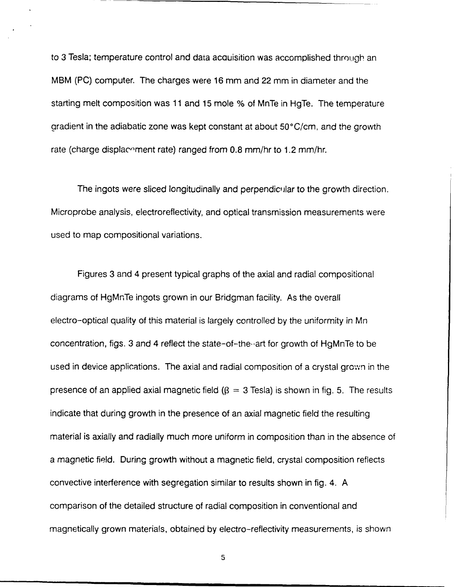to 3 Tesla; temperature control and data acauisition was accomplished through an MBM (PC) computer. The charges were 16 mm and 22 mm in diameter and the starting melt composition was 11 and 15 mole % of MnTe in HgTe. The temperature aradient in the adiabatic zone was kept constant at about 50°C/cm, and the growth rate (charge displacement rate) ranged from 0.8 mm/hr to 1.2 mm/hr.

The ingots were sliced longitudinally and perpendicular to the growth direction. Microprobe analysis, electroreflectivity, and optical transmission measurements were used to map compositional variations.

Figures 3 and 4 present typical graphs of the axial and radial compositional diagrams of HgMnTe ingots grown in our Bridgman facility. As the overall electro-optical quality of this material is largely controlled by the uniformity in Mn concentration, figs. 3 and 4 reflect the state-of-the--art for growth of HgMnTe to be used in device applications. The axial and radial composition of a crystal grown in the presence of an applied axial magnetic field  $(\beta = 3$  Tesla) is shown in fig. 5. The results indicate that during growth in the presence of an axial magnetic field the resulting material is axially and radially much more uniform in composition than in the absence of a magnetic field. During growth without a magnetic field, crystal composition reflects convective interference with segregation similar to results shown in fig. 4. A comparison of the detailed structure of radial composition in conventional and magnetically grown materials, obtained by electro-reflectivity measurements, is shown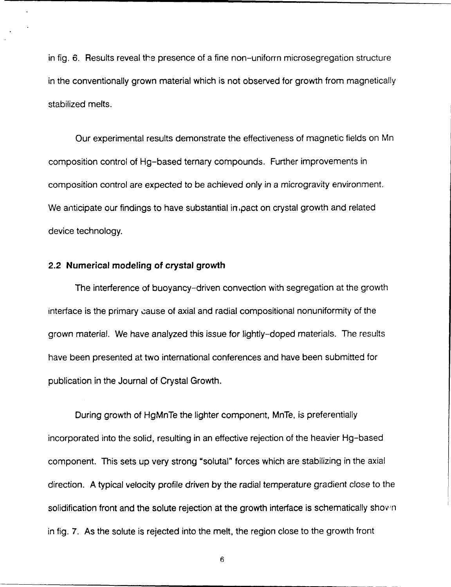in fig. 6. Results reveal the presence of a fine non-uniforrn microsegregation structure in the conventionally grown material which is not observed for growth from magnetically stabilized melts.

Our experimental results demonstrate the effectiveness of magnetic fields on Mn composition control of Hg-based ternary compounds. Further improvements in composition control are expected to be achieved only in a microgravity environment. We anticipate our findings to have substantial in pact on crystal growth and related device technology.

### **2.2 Numerical modeling of crystal growth**

The interference of buoyancy-driven convection with segregation at the growth interface is the primary cause of axial and radial compositional nonuniformity of the grown material. We have analyzed this issue for lightly-doped materials. The results have been presented at two international conferences and have been submitted for publication in the Journal of Crystal Growth.

During growth of HgMnTe the lighter component, MnTe, is preferentially incorporated into the solid, resulting in an effective rejection of the heavier Hg-based component. This sets up very strong "solutal" forces which are stabilizing in the axial direction. A typical velocity profile driven by the radial temperature gradient close to the solidification front and the solute rejection at the growth interface is schematically shown in fig. 7. As the solute is rejected into the melt, the region close to the growth front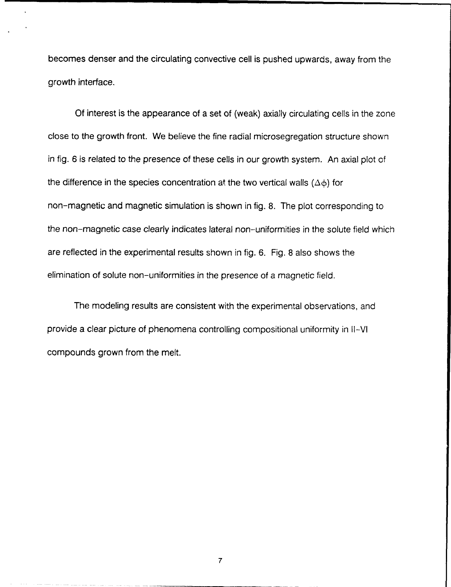becomes denser and the circulating convective cell is pushed upwards, away from the growth interface.

Of interest is the appearance of a set of (weak) axially circulating cells in the zone close to the growth front. We believe the fine radial microsegregation structure shown in fig. 6 is related to the presence of these cells in our growth system. An axial plot of the difference in the species concentration at the two vertical walls  $(\Delta \phi)$  for non-magnetic and magnetic simulation is shown in fig. 8. The plot corresponding to the non-magnetic case clearly indicates lateral non-uniformities in the solute field which are reflected in the experimental results shown in fig. 6. Fig. 8 also shows the elimination of solute non-uniformities in the presence of a magnetic field.

The modeling results are consistent with the experimental observations, and provide a clear picture of phenomena controlling compositional uniformity in I-VI compounds grown from the melt.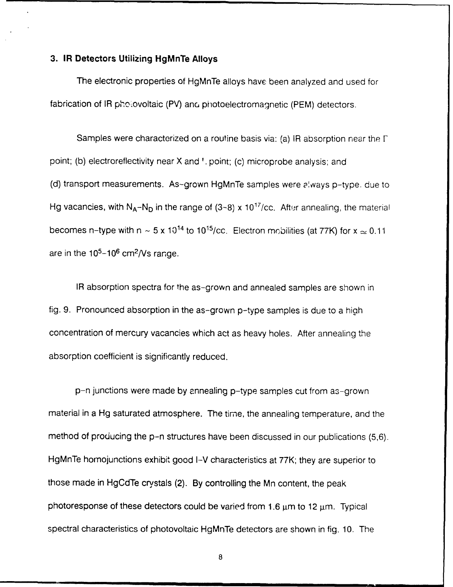### **3. IR Detectors Utilizing HgMnTe Alloys**

The electronic properties **of** HgMnTe alloys have been analyzed and used for fabrication of IR photovoltaic (PV) and photoelectromagnetic (PEM) detectors.

Samples were characterized on a routine basis via: (a) IR absorption near the  $\Gamma$ point; (b) electroreflectivity near X and '. point; (c) microprobe analysis; and (d) transport measurements. As-grown HgMnTe samples were always p-type. due to Hg vacancies, with  $N_A-N_D$  in the range of (3-8) x 10<sup>17</sup>/cc. After annealing, the materia becomes n-type with n  $\sim$  5 x 10<sup>14</sup> to 10<sup>15</sup>/cc. Electron mobilities (at 77K) for x  $\approx$  0.11 are in the  $10^5 - 10^6$  cm<sup>2</sup>/Vs range.

IR absorption spectra for the as-grown and annealed samples are shown in fig. 9. Pronounced absorption in the as-grown p-type samples is due to a high concentration of mercury vacancies which act as heavy holes. After annealing the absorption coefficient is significantly reduced.

p-n junctions were made by annealing p-type samples cut from as-grown material in a Hg saturated atmosphere. The time, the annealing temperature, and the method of producing the p-n structures have been discussed in our publications (5,6). HgMnTe homojunctions exhibit good I-V characteristics at 77K; they are superior to those made in HgCdTe crystals (2). By controlling the Mn content, the peak photoresponse of these detectors could be varied from 1.6  $\mu$ m to 12  $\mu$ m. Typical spectral characteristics of photovoltaic HgMnTe detectors are shown in fig. 10. The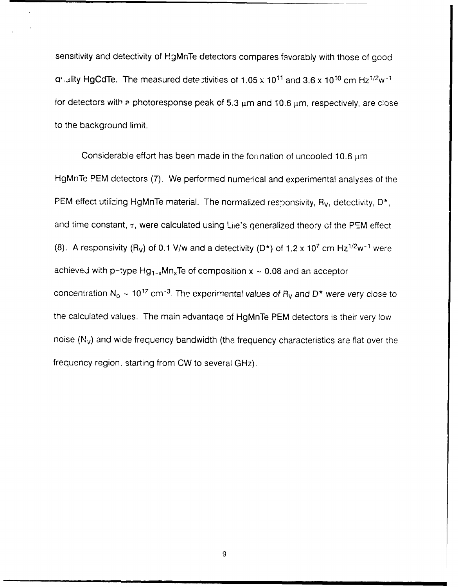sensitivity and detectivity of HgMnTe detectors compares favorably with those of good a', lity HgCdTe. The measured dete.tivities of 1.05 x **1011** and 3.6 x 1010 cm Hz1/ 2w for detectors with  $P$  photoresponse peak of 5.3  $\mu$ m and 10.6  $\mu$ m, respectively, are close to the background limit.

Considerable effort has been made in the formation of uncooled 10.6 um HgMnTe PEM detectors (7). We performed numerical and experimental analyses of the PEM effect utilizing HgMnTe material. The normalized responsivity, R<sub>V</sub>, detectivity, D<sup>\*</sup>, and time constant,  $\tau$ , were calculated using Lie's generalized theory of the PEM effect (8). A responsivity (R<sub>V</sub>) of 0.1 V/w and a detectivity (D\*) of 1.2 x 10<sup>7</sup> cm Hz<sup>1/2</sup>w<sup>-1</sup> were achieved with p-type  $Hg_{1-x}Mn_xTe$  of composition  $x \sim 0.08$  and an acceptor concentration  $N_0 \sim 10^{17}$  cm<sup>-3</sup>. The experimental values of  $R_V$  and D<sup>\*</sup> were very close to the calculated values. The main advantage of HgMnTe PEM detectors is their very low noise  $(N_v)$  and wide frequency bandwidth (the frequency characteristics are flat over the frequency region. starting from CW to several GHz).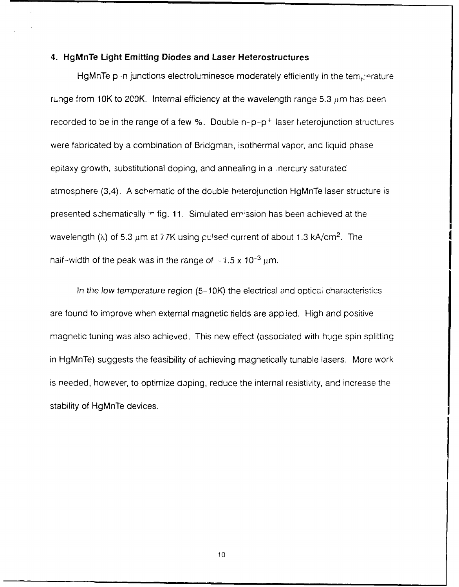### **4. HgMnTe Light Emitting Diodes and Laser Heterostructures**

HgMnTe p-n junctions electroluminesce moderately efficiently in the temperature range from 10K to 200K. Internal efficiency at the wavelength range  $5.3 \mu m$  has been recorded to be in the range of a few  $%$ . Double  $n-p-p^{+}$  laser heterojunction structures were fabricated by a combination of Bridgman, isothermal vapor, and liquid phase epitaxy growth, substitutional doping, and annealing in a, nercury saturated atmosphere (3,4). A schematic of the double heterojunction HgMnTe laser structure is presented schematically in fig. 11. Simulated emission has been achieved at the wavelength ( $\lambda$ ) of 5.3  $\mu$ m at 77K using pulsed current of about 1.3 kA/cm<sup>2</sup>. The half-width of the peak was in the range of  $\sim 1.5 \times 10^{-3}$   $\mu$ m.

In the low temperature region (5-10K) the electrical and optical characteristics are found to improve when external magnetic tields are applied. High and positive magnetic tuning was also achieved. This new effect (associated with huge spin splitting in HgMnTe) suggests the feasibility of achieving magnetically tunable lasers. More work is needed, however, to optimize doping, reduce the internal resistivity, and increase the stability of HgMnTe devices.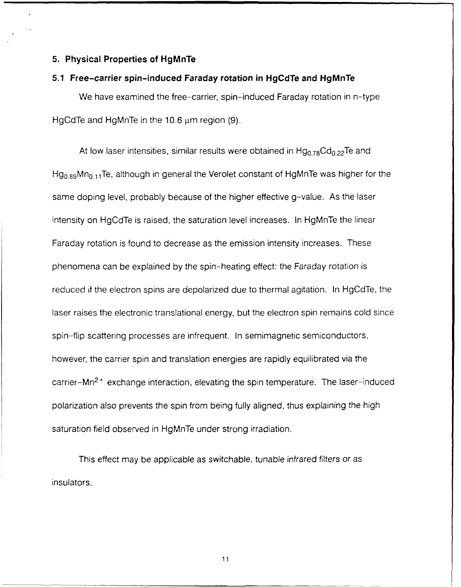### **5. Physical Properties of HgMnTe**

### **5.1 Free-carrier spin-induced Faraday rotation in HgCdTe and HgMnTe**

We have examined the free-carrier, spin-induced Faraday rotation in n-type HgCdTe and HgMnTe in the 10.6  $\mu$ m region (9).

At low laser intensities, similar results were obtained in  $Hg_{0.78}Cd_{0.22}Te$  and  $Hg_{0.89}$ Mn<sub>0.11</sub>Te, although in general the Verolet constant of HgMnTe was higher for the same doping level, probably because of the higher effective g-value. As the laser intensity on HgCdTe is raised, the saturation level increases. In HgMnTe the linear Faraday rotation is found to decrease as the emission intensity increases. These phenomena can be explained by the spin-heating effect: the Faraday rotation is reduced if the electron spins are depolarized due to thermal agitation. In HgCdTe, the laser raises the electronic translational energy, but the electron spin remains cold since spin-flip scattering processes are infrequent. In semimagnetic semiconductors, however, the carrier spin and translation energies are rapidly equilibrated via the carrier- $Mn<sup>2+</sup>$  exchange interaction, elevating the spin temperature. The laser-induced polarization also prevents the spin from being fully aligned, thus explaining the high saturation field observed in HgMnTe under strong irradiation.

This effect may be applicable as switchable, tunable infrared filters or as insulators.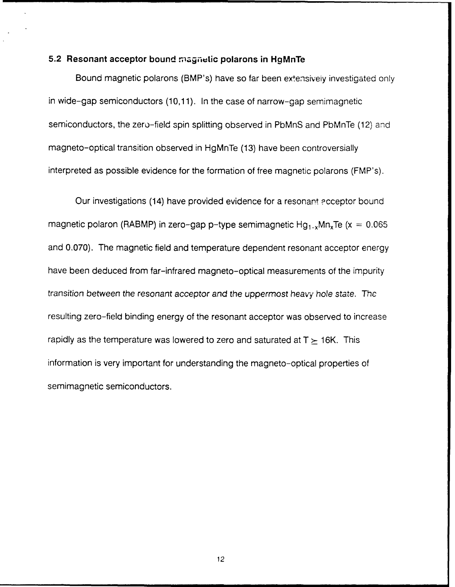### **5.2 Resonant acceptor bound magnetic polarons in HgMnTe**

Bound magnetic polarons (BMP's) have so far been extensively investigated only in wide-gap semiconductors (10,11). In the case of narrow-gap semimagnetic semiconductors, the zero-field spin splitting observed in PbMnS and PbMnTe (12) and magneto-optical transition observed in HgMnTe (13) have been controversially interpreted as possible evidence for the formation of free magnetic polarons (FMP's).

Our investigations (14) have provided evidence for a resonant acceptor bound magnetic polaron (RABMP) in zero-gap p-type semimagnetic  $Hg_{1-x}Mn_xTe$  (x = 0.065 and 0.070). The magnetic field and temperature dependent resonant acceptor energy have been deduced from far-infrared magneto-optical measurements of the impurity transition between the resonant acceptor and the uppermost heavy hole state. Thc resulting zero-field binding energy of the resonant acceptor was observed to increase rapidly as the temperature was lowered to zero and saturated at  $T \geq 16K$ . This information is very important for understanding the magneto-optical properties of semimagnetic semiconductors.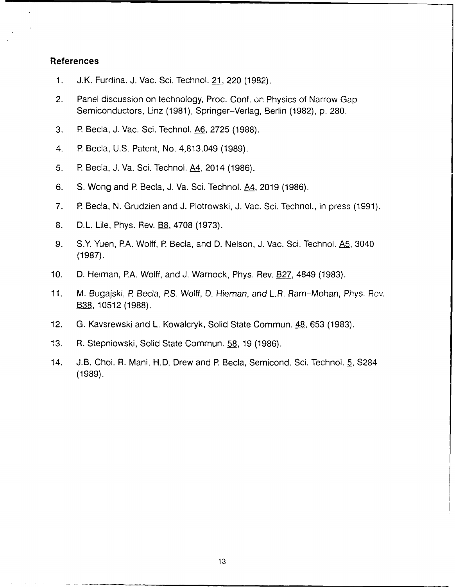### **References**

- 1. J.K. Furdina. J. Vac. Sci. Technol. 21, 220 (1982).
- 2. Panel discussion on technology, Proc. Conf. on Physics of Narrow Gap Semiconductors, Linz (1981), Springer-Verlag, Berlin (1982), p. 280.
- 3. P Becla, J. Vac. Sci. Technol. **A6,** 2725 (1988).
- 4. **R** Becla, U.S. Patent, No. 4,813,049 (1989).
- 5. **R** Becla, J. Va. Sci. Technol. A4, 2014 (1986).
- 6. **S.** Wong and **R** Becla, J. Va. Sci. Technol. A4, 2019 (1986).
- 7. P Becla, N. Grudzien and J. Piotrowski, J. Vac. Sci. Technol., in press (1991).
- 8. D.L. Lile, Phys. Rev. **B8, 4708 (1973).**
- 9. S.Y Yuen, PA. Wolff, P Becla, and D. Nelson, J. Vac. Sci. Technol. A5, 3040 (1987).
- 10. **D.** Heiman, PA. Wolff, and J. Warnock, Phys. Rev. B27, 4849 (1983).
- 11. M. Bugajski, *R* Becla, PS. Wolff, **D.** Hieman, and L.R. Ram-Mohan, Phys. Rev. **B38,** 10512 (1988).
- 12. G. Kavsrewski and L. Kowalcryk, Solid State Commun. 48, 653 (1983).
- 13. R. Stepniowski, Solid State Commun. **58,** 19 (1986).
- 14. J.B. Choi. R. Mani, H.D. Drew and P Becla, Semicond. Sci. Technol. 5, S284 (1989).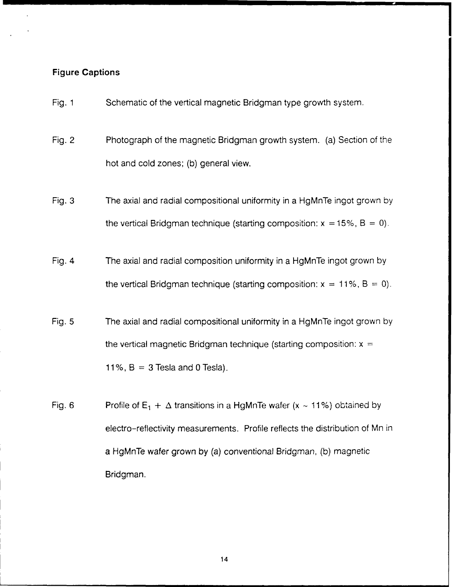### **Figure Captions**

- Fig. 1 Schematic of the vertical magnetic Bridgman type growth system.
- Fig. 2 Photograph of the magnetic Bridgman growth system. (a) Section of the hot and cold zones; (b) general view.
- Fig. 3 The axial and radial compositional uniformity in a HgMnTe ingot grown by the vertical Bridgman technique (starting composition:  $x = 15\%$ ,  $B = 0$ ).
- Fig. 4 The axial and radial composition uniformity in a HgMnTe ingot grown by the vertical Bridgman technique (starting composition:  $x = 11\%$ ,  $B = 0$ ).
- Fig. 5 The axial and radial compositional uniformity in a HgMnTe ingot grown by the vertical magnetic Bridgman technique (starting composition:  $x =$ 11%,  $B = 3$  Tesla and 0 Tesla).
- Fig. 6 Profile of  $E_1 + \Delta$  transitions in a HgMnTe wafer (x  $\sim$  11%) obtained by electro-reflectivity measurements. Profile reflects the distribution of Mn in a HgMnTe wafer grown by (a) conventional Bridgman, (b) magnetic Bridgman.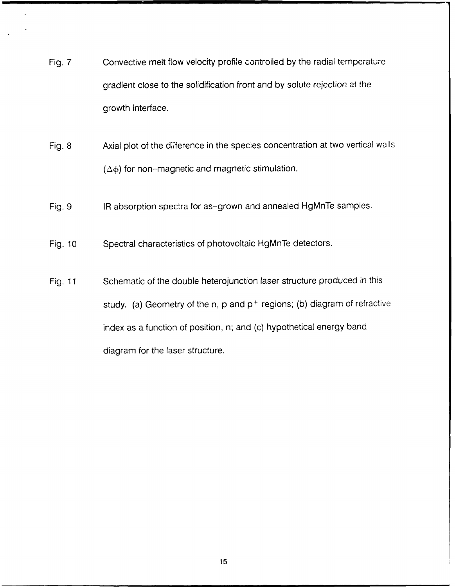- Fig. 7 Convective melt flow velocity profile controlled by the radial temperature gradient close to the solidification front and by solute rejection at the growth interface.
- Fig. 8 Axial plot of the diference in the species concentration at two vertical walls  $(\Delta \phi)$  for non-magnetic and magnetic stimulation.
- Fig. 9 IR absorption spectra for as-grown and annealed HgMnTe samples.
- Fig. 10 Spectral characteristics of photovoltaic HgMnTe detectors.
- Fig. 11 Schematic of the double heterojunction laser structure produced in this study. (a) Geometry of the n, p and **p+** regions; (b) diagram of refractive index as a function of position, n; and (c) hypothetical energy band diagram for the laser structure.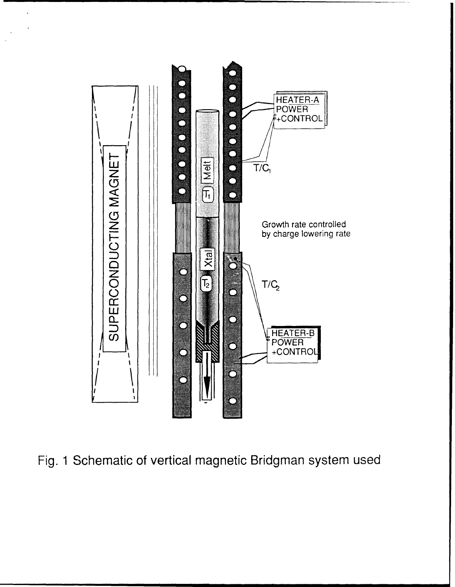

 $\ddot{\phantom{a}}$ 

 $\ddot{\phantom{a}}$ 

**Fig. 1 Schematic of vertical magnetic Bridgman system used**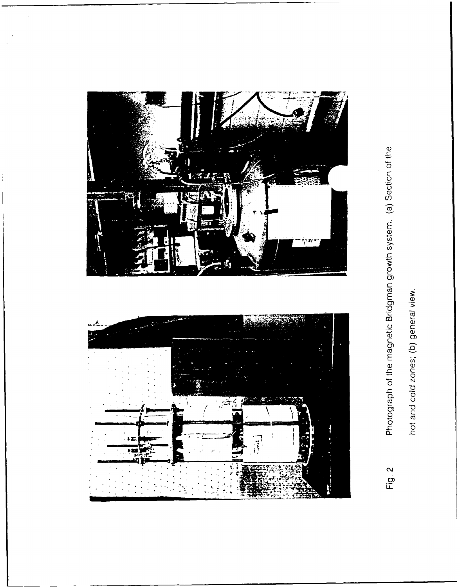![](_page_18_Picture_0.jpeg)

![](_page_18_Figure_1.jpeg)

# Photograph of the magnetic Bridgman growth system. (a) Section of the Fig. 2

hot and cold zones; (b) general view.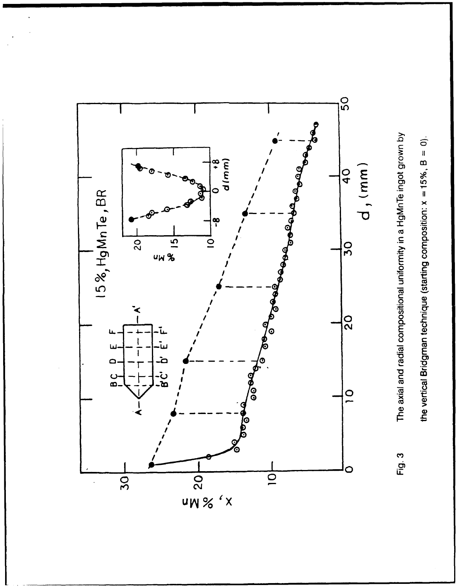![](_page_19_Figure_0.jpeg)

the vertical Bridgman technique (starting composition:  $x = 15\%$ ,  $B = 0$ ).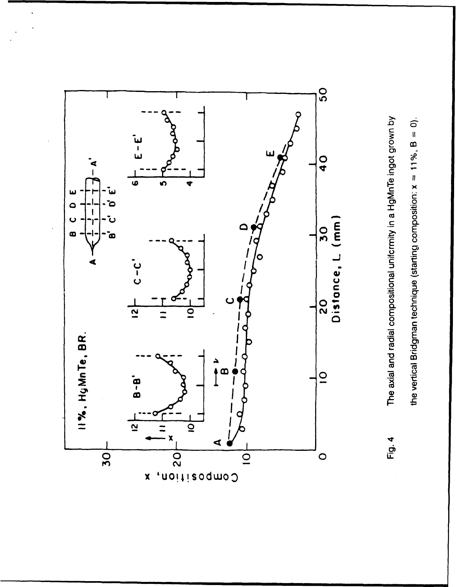![](_page_20_Figure_0.jpeg)

![](_page_20_Figure_1.jpeg)

The axial and radial compositional uniformity in a HgMnTe ingot grown by

Fig. 4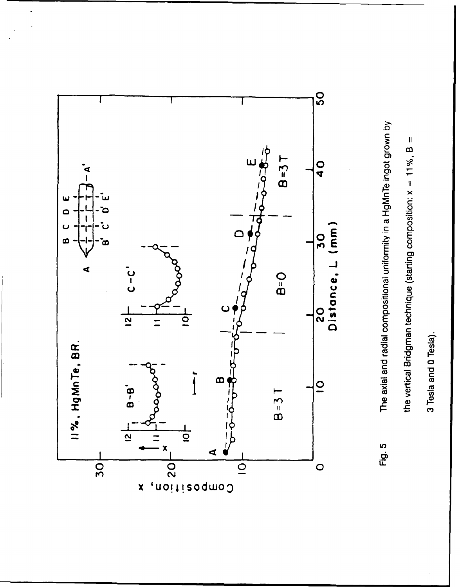![](_page_21_Figure_0.jpeg)

The axial and radial compositional uniformity in a HgMnTe ingot grown by Fig. 5

the vertical Bridgman technique (starting composition: x = 11%, B =

3 Tesla and 0 Tesla).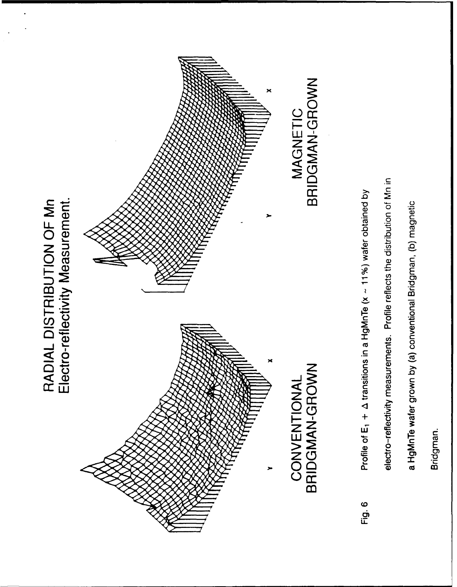Bridgman.

a HgMnTe wafer grown by (a) conventional Bridgman, (b) magnetic

electro-reflectivity measurements. Profile reflects the distribution of Mn in

Profile of E<sub>1</sub> +  $\Delta$  transitions in a HgMnTe (x  $\sim$  11%) water obtained by Fig. 6

![](_page_22_Figure_4.jpeg)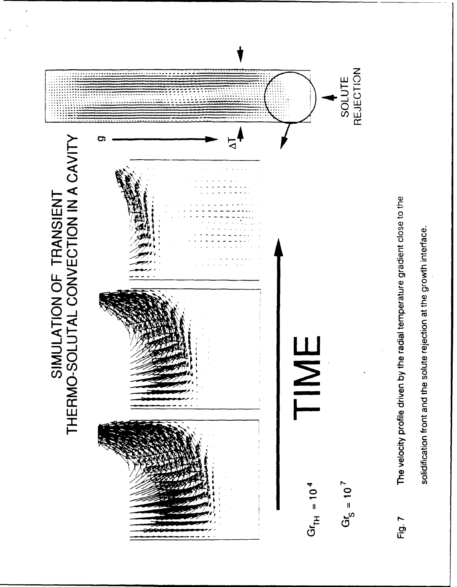![](_page_23_Figure_0.jpeg)

solidification front and the solute rejection at the growth interface.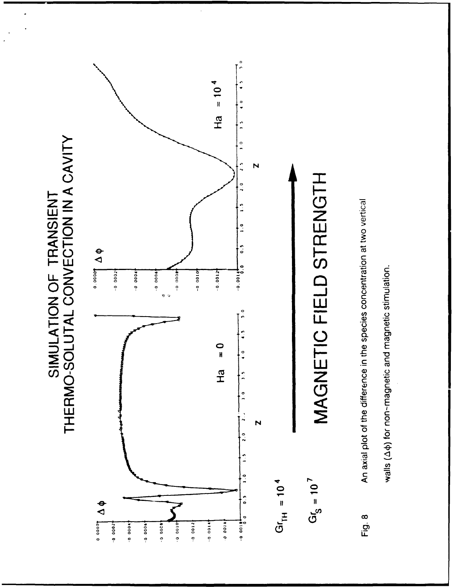SIMULATION OF TRANSIENT<br>THERMO-SOLUTAL CONVECTION IN A CAVITY

![](_page_24_Figure_1.jpeg)

An axial plot of the difference in the species concentration at two vertical Fig. 8

walls (44) for non-magnetic and magnetic stimulation.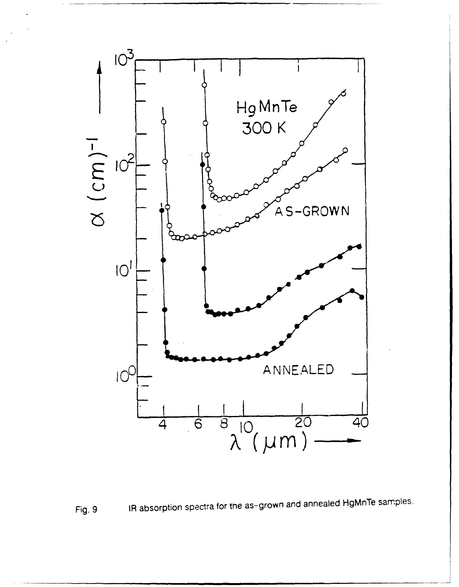![](_page_25_Figure_0.jpeg)

![](_page_25_Figure_1.jpeg)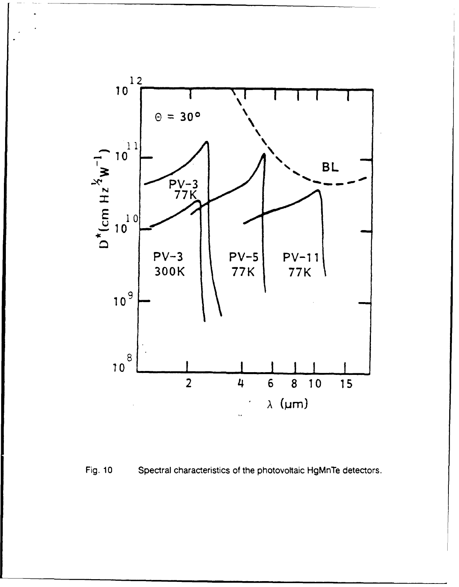![](_page_26_Figure_0.jpeg)

![](_page_26_Figure_1.jpeg)